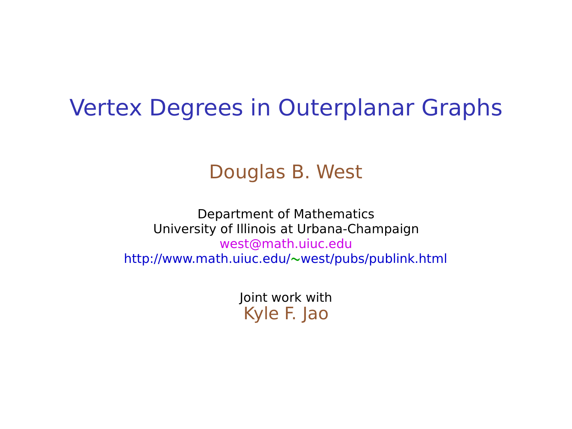## Vertex Degrees in Outerplanar Graphs

#### Douglas B. West

Department of Mathematics University of Illinois at Urbana-Champaign west@math.uiuc.edu http://www.math.uiuc.edu/**∼**west/pubs/publink.html

> Joint work with Kyle F. Jao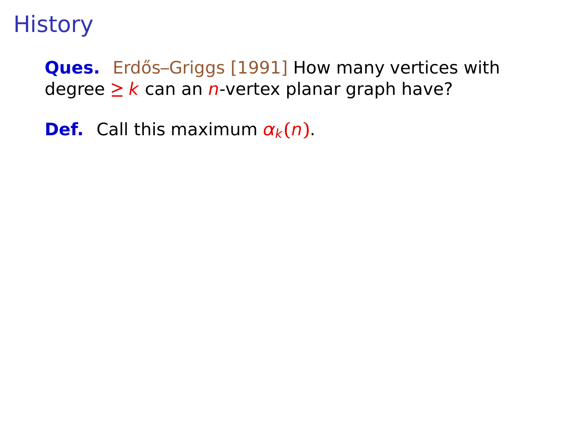**History** 

**Ques.** Erdős–Griggs [1991] How many vertices with degree  $\geq k$  can an *n*-vertex planar graph have?

**Def.** Call this maximum  $\alpha_k(n)$ .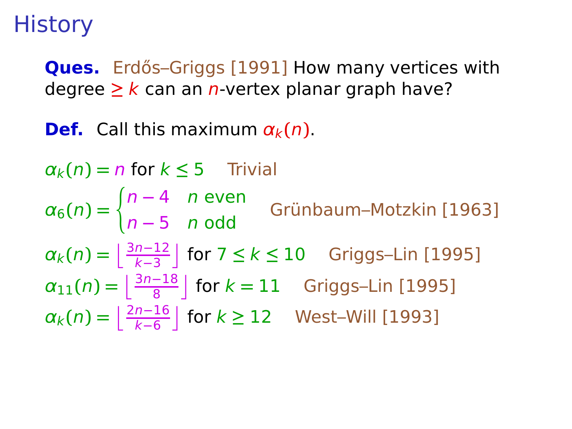**History** 

**Ques.** Erdős–Griggs [1991] How many vertices with degree  $\geq k$  can an *n*-vertex planar graph have?

**Def.** Call this maximum  $\alpha_k(n)$ .

 $\alpha_k(n) = n$  for  $k \leq 5$  Trivial  $\alpha_6(n) = \begin{cases} n-4 & n \text{ even} \\ n-5 & n \text{ odd} \end{cases}$ n − 5 n odd Grünbaum–Motzkin [1963]<br>n − 5 n odd  $\alpha_k(n) = \left\lfloor \frac{3n-12}{k-3} \right\rfloor$  for  $7 \le k \le 10$  Griggs–Lin [1995]  $\alpha_{11}(n) = \left\lfloor \frac{3n-18}{8} \right\rfloor$  for  $k = 11$  Griggs–Lin [1995]  $\alpha_k(n) = \left\lfloor \frac{2n-16}{k-6} \right\rfloor$  for  $k \ge 12$  West–Will [1993]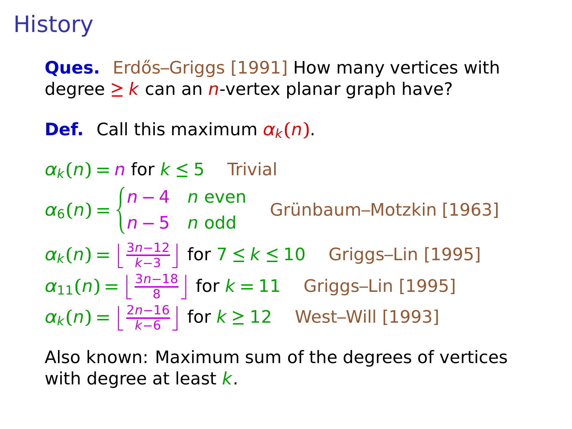**History** 

**Ques.** Erdős–Griggs [1991] How many vertices with degree  $\geq k$  can an *n*-vertex planar graph have?

**Def.** Call this maximum  $\alpha_k(n)$ .

 $\alpha_k(n) = n$  for  $k \leq 5$  Trivial  $\alpha_6(n) = \begin{cases} n-4 & n \text{ even} \\ n-5 & n \text{ odd} \end{cases}$ n − 5 n odd Grünbaum–Motzkin [1963]<br>n − 5 n odd  $\alpha_k(n) = \left\lfloor \frac{3n-12}{k-3} \right\rfloor$  for  $7 \le k \le 10$  Griggs–Lin [1995]  $\alpha_{11}(n) = \left\lfloor \frac{3n-18}{8} \right\rfloor$  for  $k = 11$  Griggs–Lin [1995]  $\alpha_k(n) = \left\lfloor \frac{2n-16}{k-6} \right\rfloor$  for  $k \ge 12$  West–Will [1993]

Also known: Maximum sum of the degrees of vertices with degree at least  $k$ .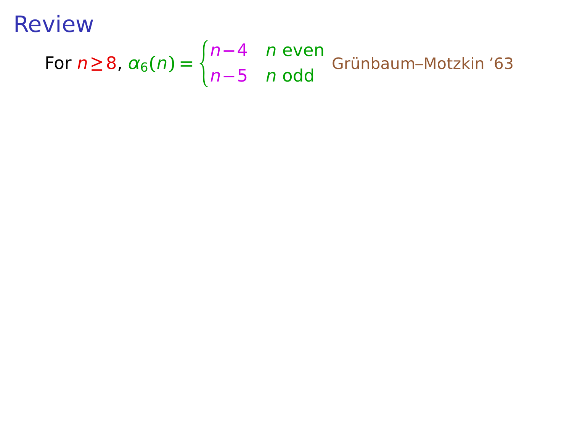For 
$$
n \ge 8
$$
,  $\alpha_6(n) = \begin{cases} n-4 & n \text{ even} \\ n-5 & n \text{ odd} \end{cases}$  Grünbaum–Motzkin '63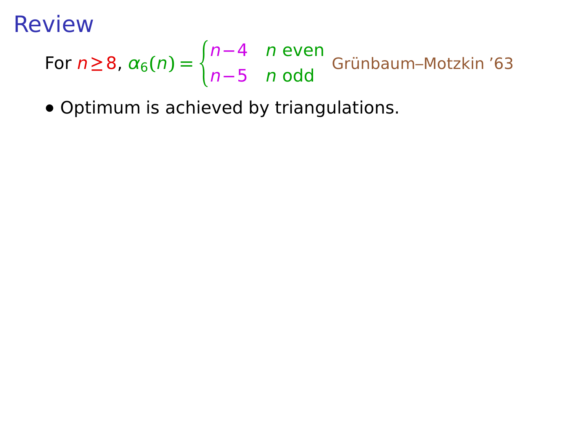For 
$$
n \ge 8
$$
,  $\alpha_6(n) = \begin{cases} n-4 & n \text{ even} \\ n-5 & n \text{ odd} \end{cases}$  Grünbaum-Motzkin '63

**•** Optimum is achieved by triangulations.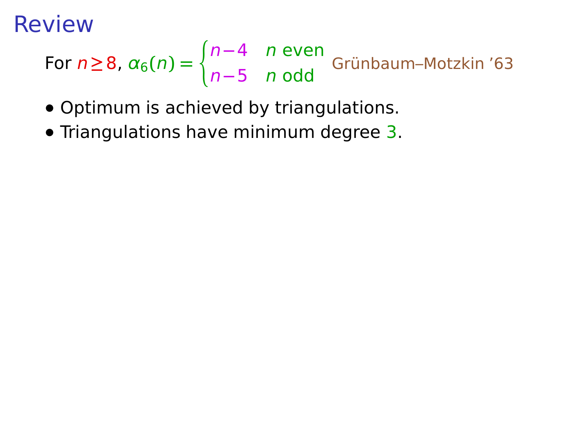For 
$$
n \ge 8
$$
,  $\alpha_6(n) = \begin{cases} n-4 & n \text{ even} \\ n-5 & n \text{ odd} \end{cases}$  Grünbaum-Motzkin '63

- **•** Optimum is achieved by triangulations.
- **•** Triangulations have minimum degree 3.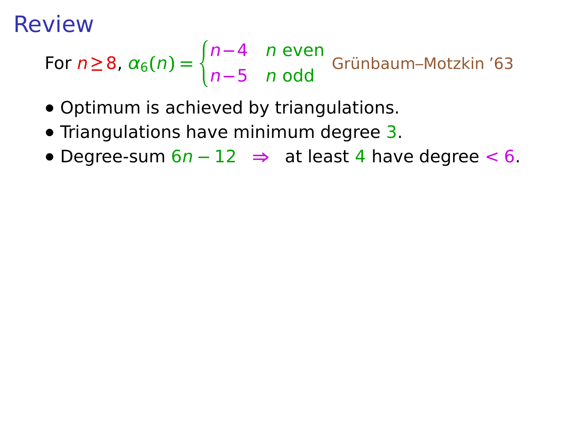For 
$$
n \ge 8
$$
,  $\alpha_6(n) = \begin{cases} n-4 & n \text{ even} \\ n-5 & n \text{ odd} \end{cases}$  Grünbaum-Motzkin '63

- **•** Optimum is achieved by triangulations.
- **•** Triangulations have minimum degree 3.
- **•** Degree-sum 6n **−** 12 **⇒** at least 4 have degree < 6.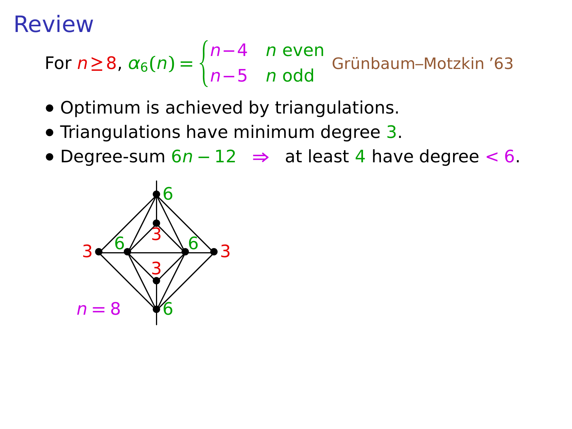For 
$$
n \ge 8
$$
,  $\alpha_6(n) = \begin{cases} n-4 & n \text{ even} \\ n-5 & n \text{ odd} \end{cases}$  Grünbaum-Motzkin '63

- **•** Optimum is achieved by triangulations.
- **•** Triangulations have minimum degree 3.
- **•** Degree-sum 6n **−** 12 **⇒** at least 4 have degree < 6.

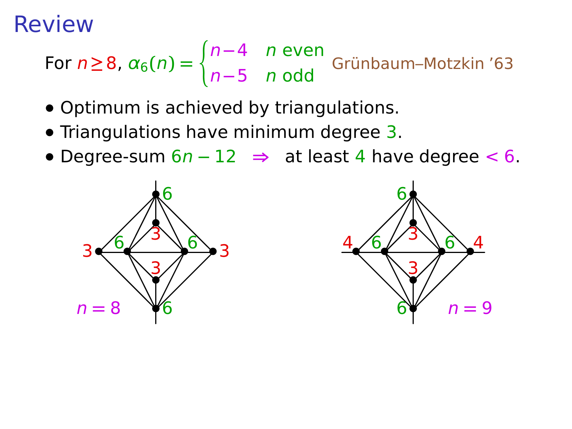For 
$$
n \ge 8
$$
,  $\alpha_6(n) = \begin{cases} n-4 & n \text{ even} \\ n-5 & n \text{ odd} \end{cases}$  Grünbaum-Motzkin '63

- **•** Optimum is achieved by triangulations.
- **•** Triangulations have minimum degree 3.
- **•** Degree-sum 6n **−** 12 **⇒** at least 4 have degree < 6.



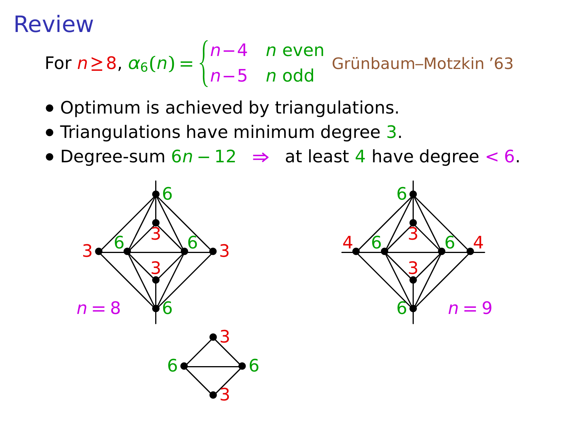For 
$$
n \ge 8
$$
,  $\alpha_6(n) = \begin{cases} n-4 & n \text{ even} \\ n-5 & n \text{ odd} \end{cases}$  Grünbaum–Motzkin '63

- **•** Optimum is achieved by triangulations.
- **•** Triangulations have minimum degree 3.
- **•** Degree-sum 6n **−** 12 **⇒** at least 4 have degree < 6.



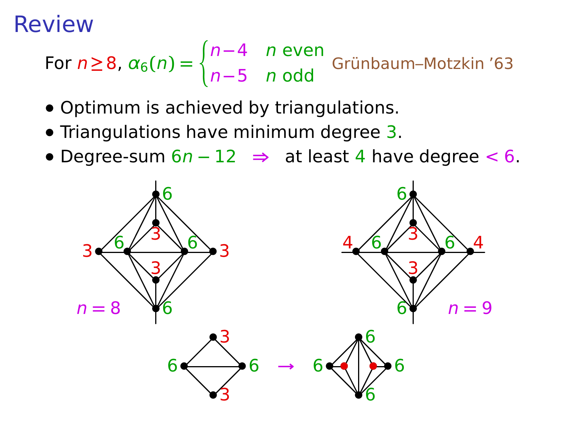For 
$$
n \ge 8
$$
,  $\alpha_6(n) = \begin{cases} n-4 & n \text{ even} \\ n-5 & n \text{ odd} \end{cases}$  Grünbaum-Motzkin '63

- **•** Optimum is achieved by triangulations.
- **•** Triangulations have minimum degree 3.
- **•** Degree-sum 6n **−** 12 **⇒** at least 4 have degree < 6.

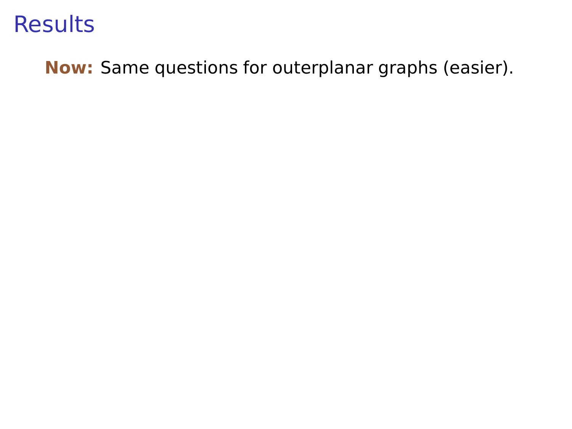#### **Now:** Same questions for outerplanar graphs (easier).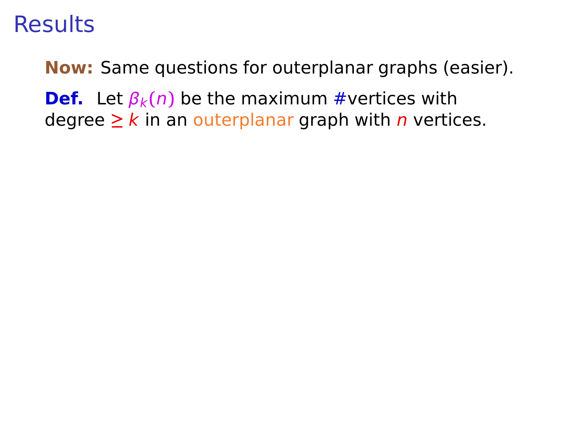**Now:** Same questions for outerplanar graphs (easier). **Def.** Let  $\beta_k(n)$  be the maximum #vertices with degree  $\geq k$  in an outerplanar graph with *n* vertices.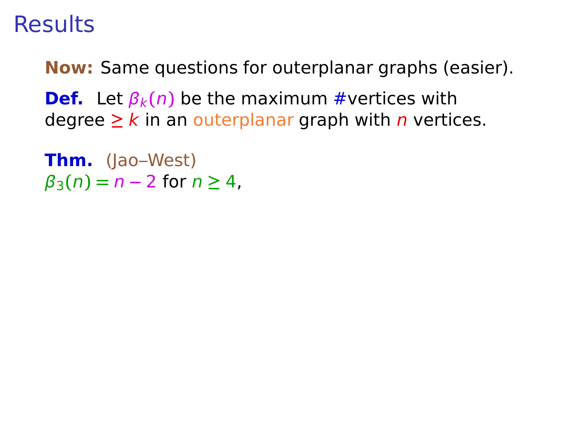**Now:** Same questions for outerplanar graphs (easier).

**Def.** Let  $\beta_k(n)$  be the maximum #vertices with degree  $\geq k$  in an outerplanar graph with *n* vertices.

**Thm.** (Jao–West) β3**(**n**) =** n **−** 2 for n **≥** 4,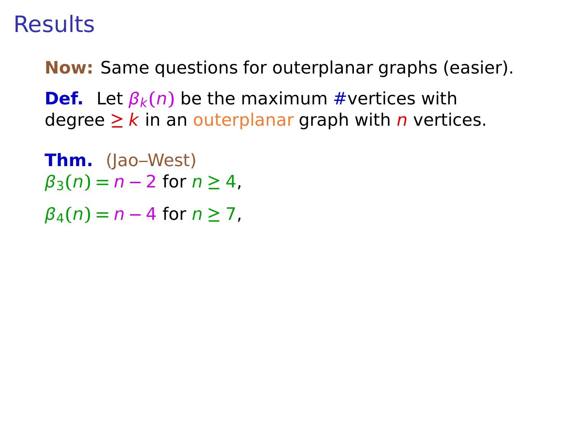**Now:** Same questions for outerplanar graphs (easier).

**Def.** Let  $\beta_k(n)$  be the maximum #vertices with degree  $\geq k$  in an outerplanar graph with *n* vertices.

**Thm.** (Jao–West)  $\beta_3(n) = n - 2$  for  $n > 4$ .  $\beta_4(n) = n - 4$  for  $n > 7$ .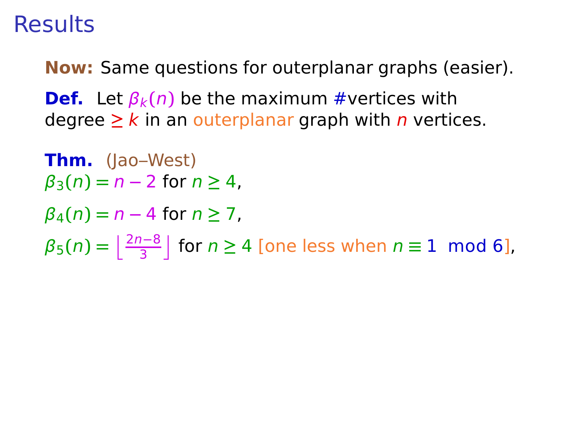**Now:** Same questions for outerplanar graphs (easier).

**Def.** Let  $\beta_k(n)$  be the maximum #vertices with degree  $\geq k$  in an outerplanar graph with *n* vertices.

**Thm.** (Jao–West)  $\beta_3(n) = n - 2$  for  $n > 4$ . β4**(**n**) =** n **−** 4 for n **≥** 7,  $\beta_5(n) = \left\lfloor \frac{2n-8}{3} \right\rfloor$  for  $n \ge 4$  [one less when  $n \equiv 1 \mod 6$ ],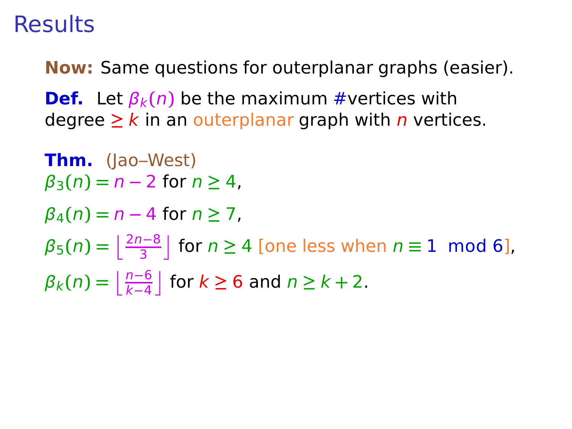**Now:** Same questions for outerplanar graphs (easier).

**Def.** Let  $\beta_k(n)$  be the maximum #vertices with degree  $\geq k$  in an outerplanar graph with *n* vertices.

**Thm.** (Jao–West)  $\beta_3(n) = n - 2$  for  $n > 4$ . β4**(**n**) =** n **−** 4 for n **≥** 7,  $\beta_5(n) = \left\lfloor \frac{2n-8}{3} \right\rfloor$  for  $n \ge 4$  [one less when  $n \equiv 1 \mod 6$ ],  $\beta_k(n) = \left\lfloor \frac{n-6}{k-4} \right\rfloor$  for  $k \ge 6$  and  $n \ge k+2$ .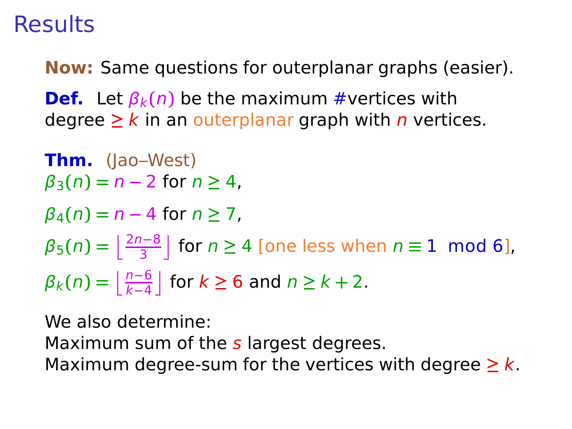**Now:** Same questions for outerplanar graphs (easier).

**Def.** Let  $\beta_k(n)$  be the maximum #vertices with degree  $\geq k$  in an outerplanar graph with *n* vertices.

**Thm.** (Jao–West)  $\beta_3(n) = n - 2$  for  $n > 4$ . β4**(**n**) =** n **−** 4 for n **≥** 7,  $\beta_5(n) = \left\lfloor \frac{2n-8}{3} \right\rfloor$  for  $n \ge 4$  [one less when  $n \equiv 1 \mod 6$ ],  $\beta_k(n) = \left\lfloor \frac{n-6}{k-4} \right\rfloor$  for  $k \ge 6$  and  $n \ge k+2$ .

We also determine: Maximum sum of the  $s$  largest degrees. Maximum degree-sum for the vertices with degree  $\geq k$ .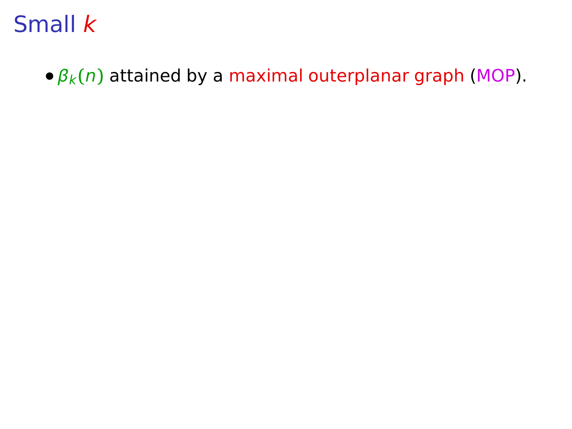**•** βk**(**n**)** attained by a maximal outerplanar graph (MOP).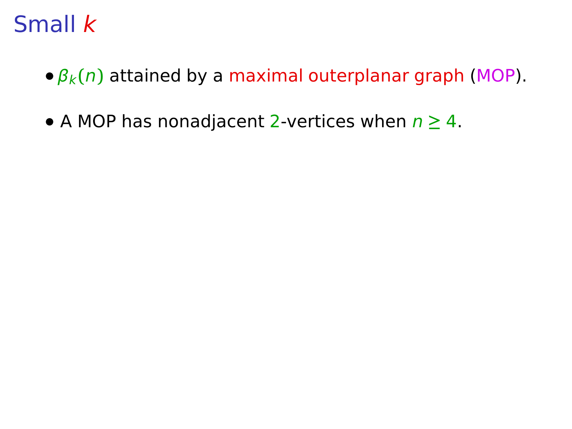- $\bullet$   $\beta_k(n)$  attained by a maximal outerplanar graph (MOP).
- **•** A MOP has nonadjacent 2-vertices when n **≥** 4.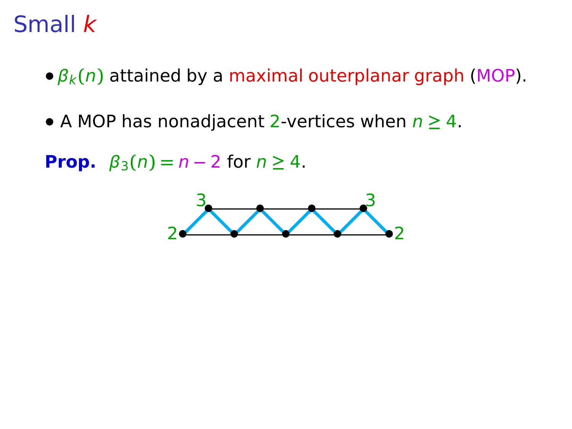- $\bullet$   $\beta_k(n)$  attained by a maximal outerplanar graph (MOP).
- **•** A MOP has nonadjacent 2-vertices when n **≥** 4.

**Prop.**  $\beta_3(n) = n - 2$  for  $n \ge 4$ .

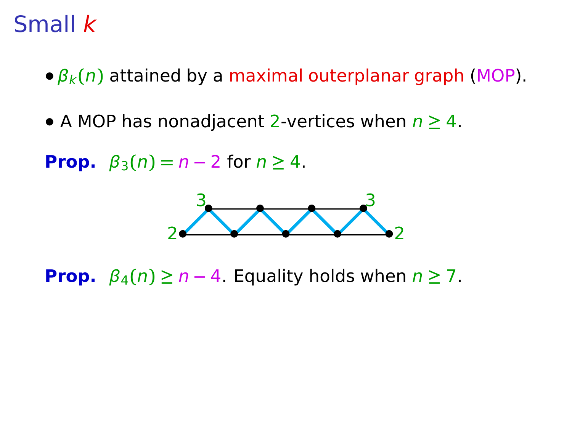- $\bullet$   $\beta_k(n)$  attained by a maximal outerplanar graph (MOP).
- **•** A MOP has nonadjacent 2-vertices when n **≥** 4.

**Prop.**  $\beta_3(n) = n - 2$  for  $n \ge 4$ .



**Prop.**  $\beta_4(n) \geq n-4$ . Equality holds when  $n \geq 7$ .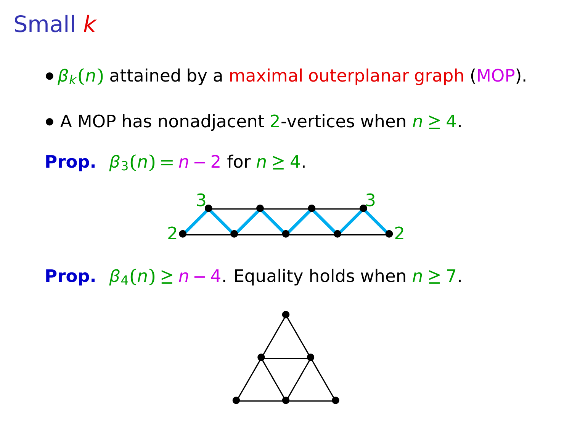- $\bullet$   $\beta_k(n)$  attained by a maximal outerplanar graph (MOP).
- **•** A MOP has nonadjacent 2-vertices when n **≥** 4.

**Prop.**  $\beta_3(n) = n - 2$  for  $n \ge 4$ .



**Prop.**  $\beta_4(n) \geq n-4$ . Equality holds when  $n \geq 7$ .

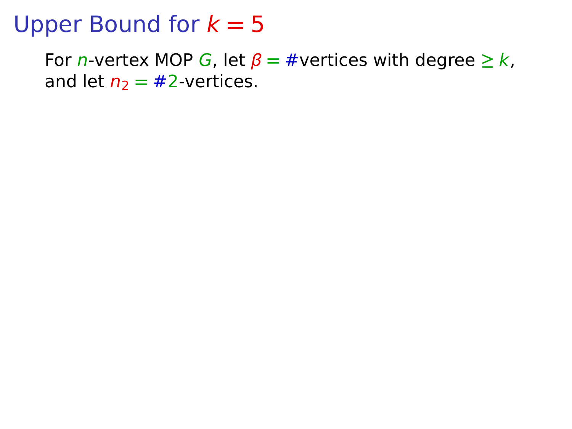For *n*-vertex MOP *G*, let  $\beta = \#$  vertices with degree  $\geq k$ , and let  $n_2 = #2$ -vertices.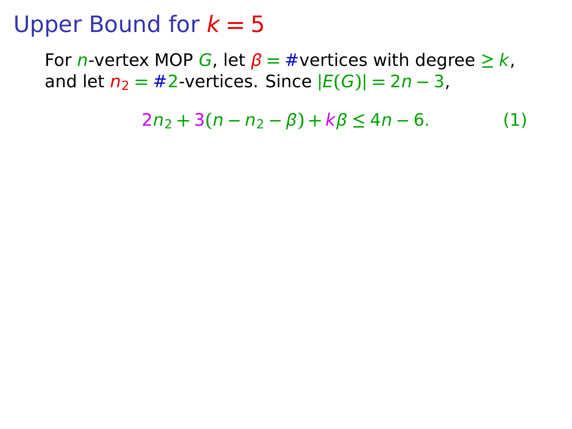For *n*-vertex MOP *G*, let  $\beta = \#$  vertices with degree  $\geq k$ , and let  $n_2 = #2$ -vertices. Since  $|E(G)| = 2n - 3$ ,

$$
2n_2 + 3(n - n_2 - \beta) + k\beta \le 4n - 6. \tag{1}
$$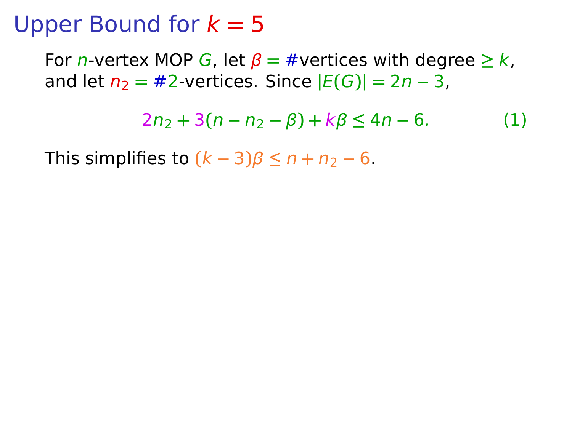For *n*-vertex MOP G, let  $\beta = \#$  vertices with degree  $\geq k$ , and let  $n_2 = #2$ -vertices. Since  $|E(G)| = 2n - 3$ ,

$$
2n_2 + 3(n - n_2 - \beta) + k\beta \le 4n - 6. \tag{1}
$$

This simplifies to  $(k-3)\beta \leq n + n_2 - 6$ .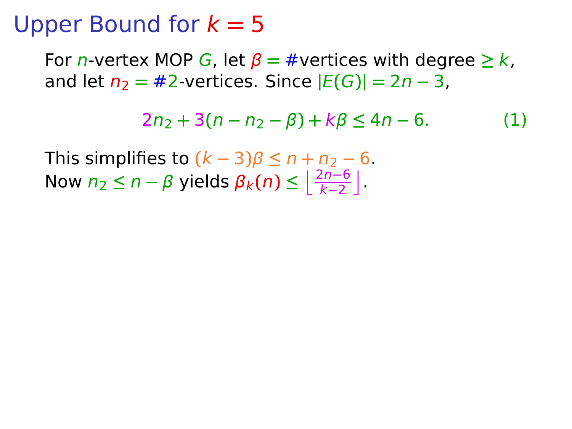For *n*-vertex MOP *G*, let  $\beta = \#$  vertices with degree  $\geq k$ , and let  $n_2 = #2$ -vertices. Since  $|E(G)| = 2n - 3$ ,

$$
2n_2 + 3(n - n_2 - \beta) + k\beta \le 4n - 6. \tag{1}
$$

This simplifies to  $(k-3)\beta \leq n+n_2-6$ . Now  $n_2 \le n - \beta$  yields  $\beta_k(n) \le \left\lfloor \frac{2n-6}{k-2} \right\rfloor$ .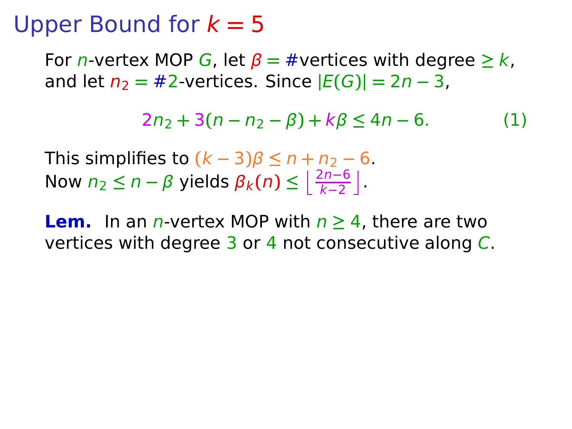For *n*-vertex MOP G, let  $\beta = \#$  vertices with degree  $\geq k$ , and let  $n_2 = #2$ -vertices. Since  $|E(G)| = 2n - 3$ ,

$$
2n_2 + 3(n - n_2 - \beta) + k\beta \le 4n - 6. \tag{1}
$$

This simplifies to  $(k-3)\beta \leq n + n_2 - 6$ . Now  $n_2 \le n - \beta$  yields  $\beta_k(n) \le \left\lfloor \frac{2n-6}{k-2} \right\rfloor$ .

**Lem.** In an n-vertex MOP with n **≥** 4, there are two vertices with degree  $3$  or 4 not consecutive along C.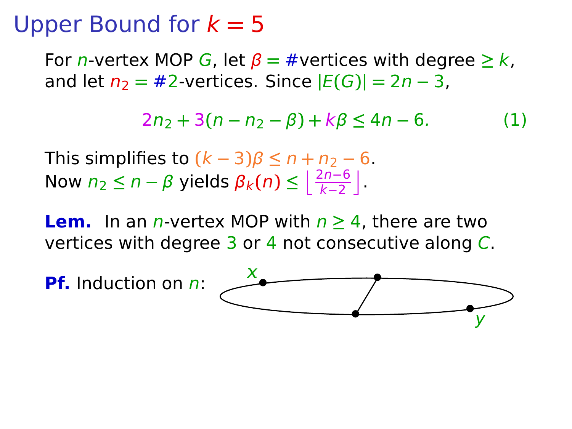For *n*-vertex MOP G, let  $\beta = \#$  vertices with degree  $\geq k$ , and let  $n_2 = #2$ -vertices. Since  $|E(G)| = 2n - 3$ ,

$$
2n_2 + 3(n - n_2 - \beta) + k\beta \le 4n - 6. \tag{1}
$$

This simplifies to  $(k-3)\beta \leq n + n_2 - 6$ . Now  $n_2 \le n - \beta$  yields  $\beta_k(n) \le \left\lfloor \frac{2n-6}{k-2} \right\rfloor$ .

**Lem.** In an n-vertex MOP with n **≥** 4, there are two vertices with degree  $3$  or 4 not consecutive along C.



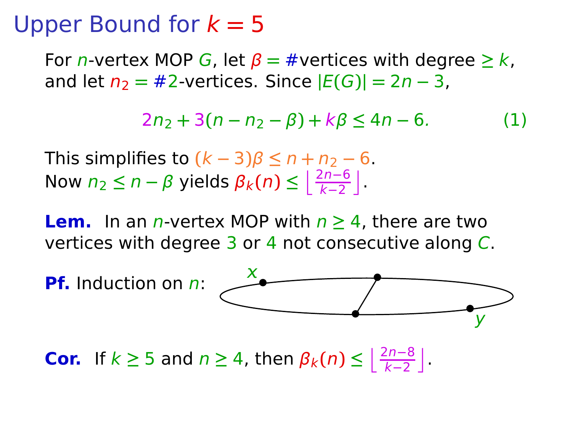For *n*-vertex MOP G, let  $\beta = \#$  vertices with degree  $\geq k$ , and let  $n_2 = #2$ -vertices. Since  $|E(G)| = 2n - 3$ ,

$$
2n_2 + 3(n - n_2 - \beta) + k\beta \le 4n - 6. \tag{1}
$$

This simplifies to  $(k-3)\beta \leq n + n_2 - 6$ . Now  $n_2 \le n - \beta$  yields  $\beta_k(n) \le \left\lfloor \frac{2n-6}{k-2} \right\rfloor$ .

**Lem.** In an n-vertex MOP with n **≥** 4, there are two vertices with degree 3 or 4 not consecutive along C.



**Cor.** If  $k \geq 5$  and  $n \geq 4$ , then  $\beta_k(n) \leq \left\lfloor \frac{2n-8}{k-2} \right\rfloor$ .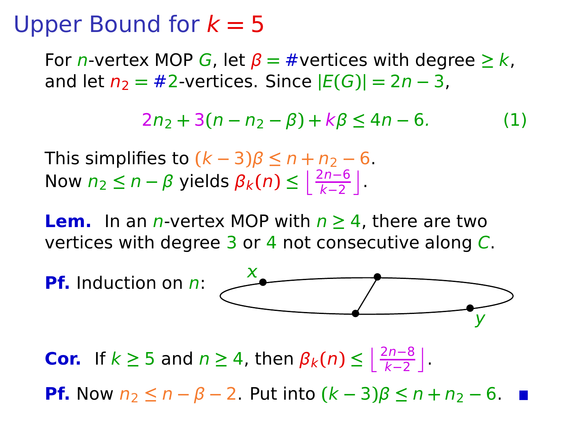For *n*-vertex MOP G, let  $\beta = \#$  vertices with degree  $\geq k$ , and let  $n_2 = #2$ -vertices. Since  $|E(G)| = 2n - 3$ ,

$$
2n_2 + 3(n - n_2 - \beta) + k\beta \le 4n - 6. \tag{1}
$$

This simplifies to  $(k-3)\beta \leq n+n_2-6$ . Now  $n_2 \le n - \beta$  yields  $\beta_k(n) \le \left\lfloor \frac{2n-6}{k-2} \right\rfloor$ .

**Lem.** In an *n*-vertex MOP with  $n \geq 4$ , there are two vertices with degree  $3$  or 4 not consecutive along C.



**Pf.** Now  $n_2 \le n - \beta - 2$ . Put into  $(k - 3)\beta \le n + n_2 - 6$ . ■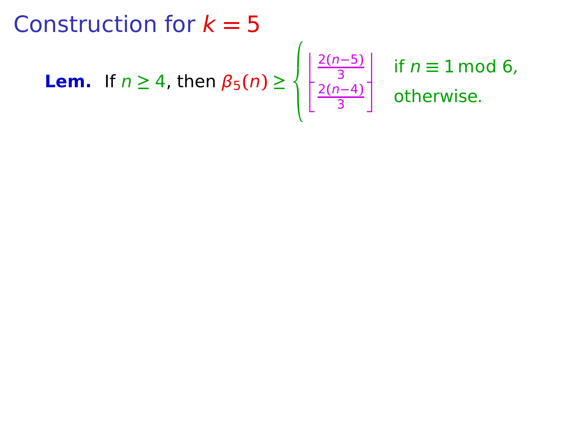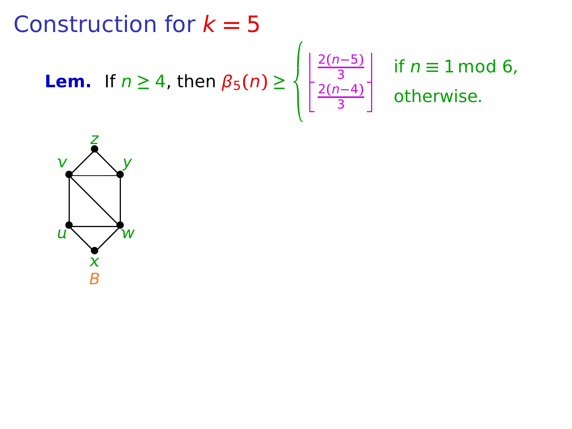Construction for  $k = 5$ **Lem.** If  $n \geq 4$ , then  $\beta_5(n) \geq$  $\sqrt{2}$  $\left\langle \right\rangle$  $\mathbf{I}$ j 2**(**n**−**5**)**  $\left[\frac{n-5}{3}\right]$  if  $n \equiv 1 \mod 6$ , j 2**(**n**−**4**)**  $\left[\frac{n-4}{3}\right]$  otherwise.

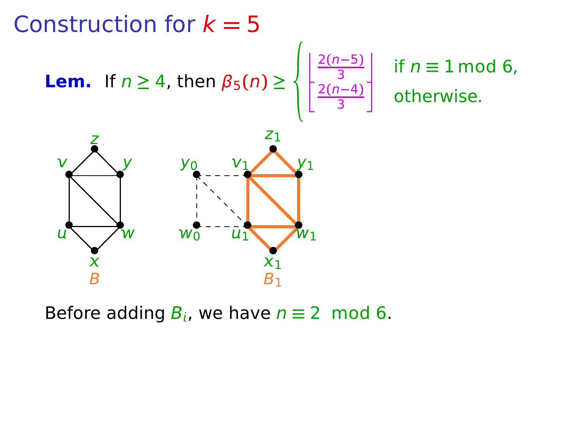

Before adding  $B_i$ , we have  $n \equiv 2 \mod 6$ .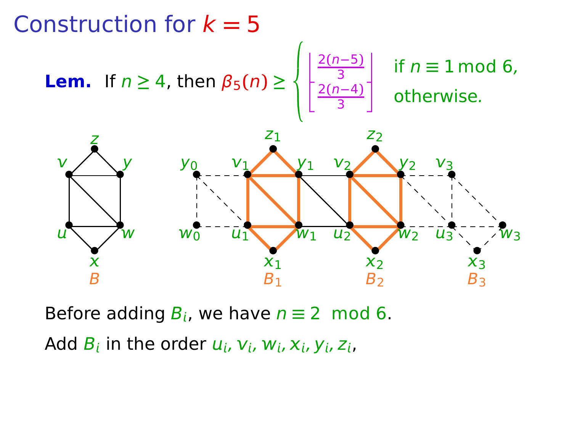

Before adding  $B_i$ , we have  $n \equiv 2 \mod 6$ . Add  $B_i$  in the order  $u_i$ ,  $v_i$ ,  $w_i$ ,  $x_i$ ,  $y_i$ ,  $z_i$ ,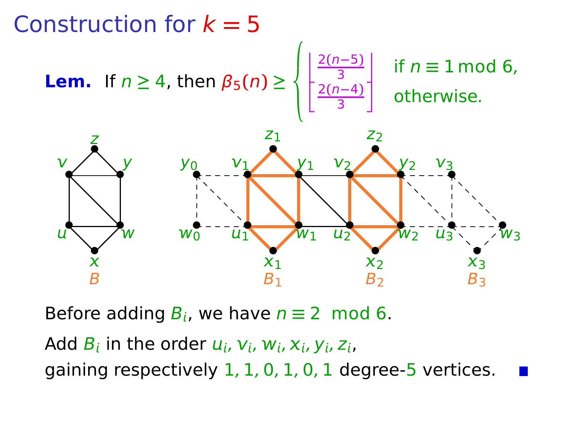

Before adding  $B_i$ , we have  $n \equiv 2 \mod 6$ .

Add  $B_i$  in the order  $u_i$ ,  $v_i$ ,  $w_i$ ,  $x_i$ ,  $y_i$ ,  $z_i$ , gaining respectively 1, 1, 0, 1, 0, 1 degree-5 vertices.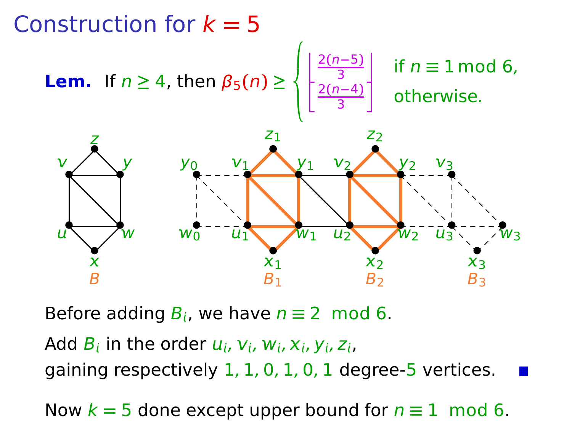

Before adding  $B_i$ , we have  $n \equiv 2 \mod 6$ .

Add  $B_i$  in the order  $u_i$ ,  $v_i$ ,  $w_i$ ,  $x_i$ ,  $y_i$ ,  $z_i$ , gaining respectively  $1, 1, 0, 1, 0, 1$  degree- $5$  vertices.

Now  $k = 5$  done except upper bound for  $n \equiv 1 \mod 6$ .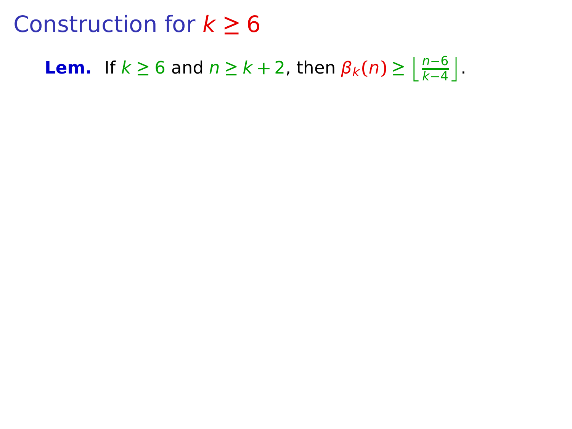#### Construction for  $k \geq 6$

**Lem.** If  $k \ge 6$  and  $n \ge k+2$ , then  $\beta_k(n) \ge \left\lfloor \frac{n-6}{k-4} \right\rfloor$ .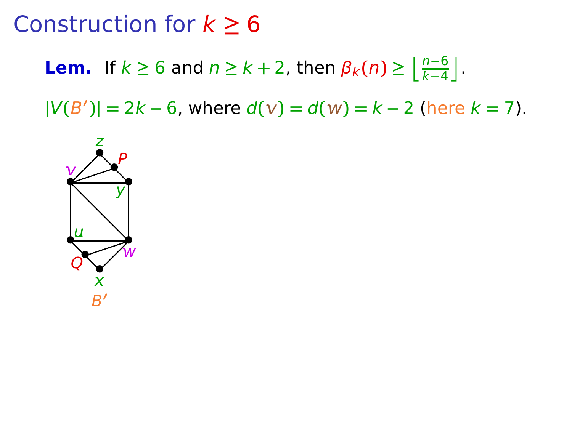**Lem.** If  $k \ge 6$  and  $n \ge k+2$ , then  $\beta_k(n) \ge \left\lfloor \frac{n-6}{k-4} \right\rfloor$ .

**|**V**(**B **′ )| =** 2k **−** 6, where d**() =** d**() =** k **−** 2 (here k **=** 7).

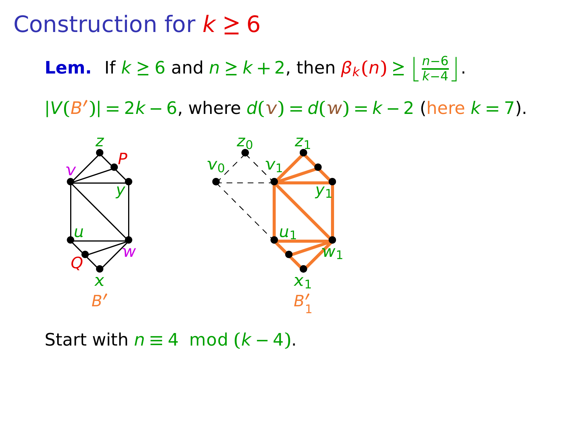**Lem.** If  $k \ge 6$  and  $n \ge k+2$ , then  $\beta_k(n) \ge \left\lfloor \frac{n-6}{k-4} \right\rfloor$ .

**|**V**(**B **′ )| =** 2k **−** 6, where d**() =** d**() =** k **−** 2 (here k **=** 7).



Start with  $n \equiv 4 \mod (k-4)$ .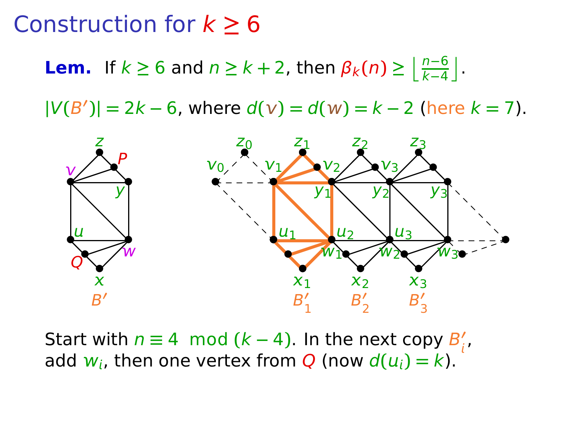**Lem.** If  $k \ge 6$  and  $n \ge k+2$ , then  $\beta_k(n) \ge \left\lfloor \frac{n-6}{k-4} \right\rfloor$ .

**|**V**(**B **′ )| =** 2k **−** 6, where d**() =** d**() =** k **−** 2 (here k **=** 7).



Start with  $n \equiv 4 \mod (k-4)$ . In the next copy  $B_i'$  $_i'$ add  $w_i$ , then one vertex from Q (now  $d(u_i) = k$ ).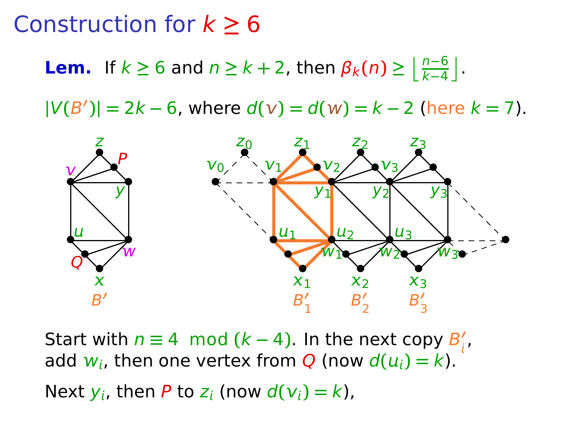**Lem.** If  $k \ge 6$  and  $n \ge k+2$ , then  $\beta_k(n) \ge \left\lfloor \frac{n-6}{k-4} \right\rfloor$ .

**|**V**(**B **′ )| =** 2k **−** 6, where d**() =** d**() =** k **−** 2 (here k **=** 7).



Start with  $n \equiv 4 \mod (k-4)$ . In the next copy  $B_i'$  $_i'$ add  $w_i$ , then one vertex from Q (now  $d(u_i) = k$ ).

Next  $y_i$ , then P to  $z_i$  (now  $d(y_i) = k$ ),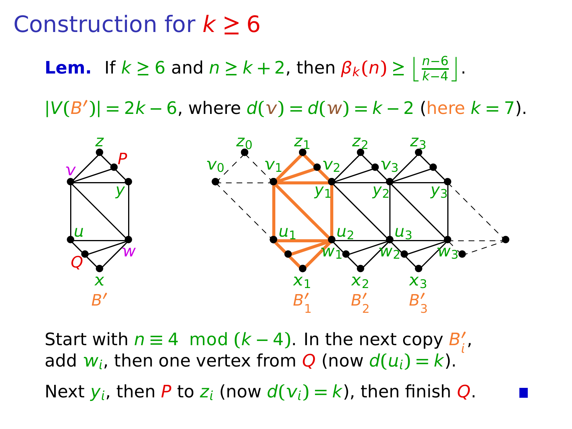**Lem.** If  $k \ge 6$  and  $n \ge k+2$ , then  $\beta_k(n) \ge \left\lfloor \frac{n-6}{k-4} \right\rfloor$ .

**|**V**(**B **′ )| =** 2k **−** 6, where d**() =** d**() =** k **−** 2 (here k **=** 7).



Start with  $n \equiv 4 \mod (k-4)$ . In the next copy  $B_i'$  $_i'$ add  $w_i$ , then one vertex from Q (now  $d(u_i) = k$ ).

Next  $y_i$ , then P to  $z_i$  (now  $d(v_i) = k$ ), then finish Q.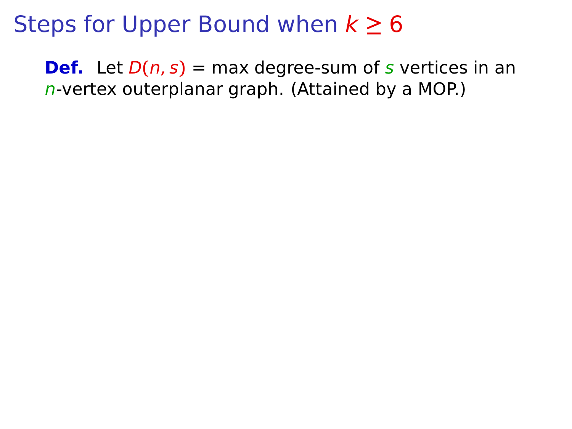**Def.** Let  $D(n, s) = \max$  degree-sum of s vertices in an n-vertex outerplanar graph. (Attained by a MOP.)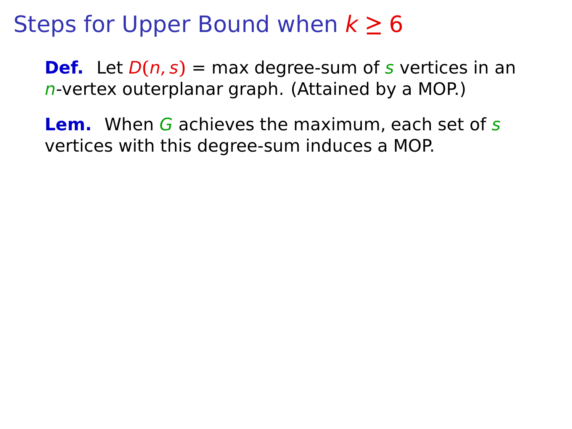**Def.** Let  $D(n, s) = \max$  degree-sum of s vertices in an n-vertex outerplanar graph. (Attained by a MOP.)

**Lem.** When G achieves the maximum, each set of s vertices with this degree-sum induces a MOP.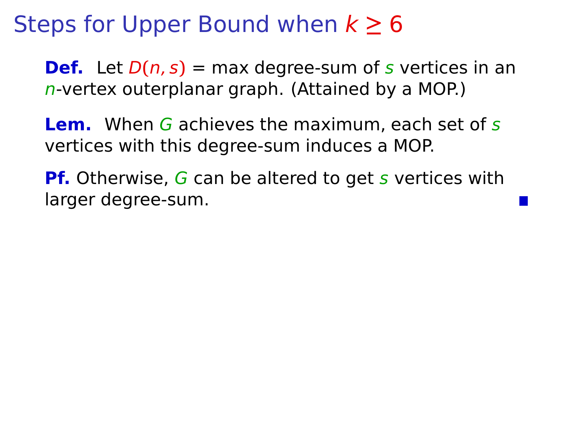**Def.** Let  $D(n, s)$  = max degree-sum of s vertices in an  $n$ -vertex outerplanar graph. (Attained by a MOP.)

**Lem.** When G achieves the maximum, each set of s vertices with this degree-sum induces a MOP.

**Pf.** Otherwise, G can be altered to get s vertices with larger degree-sum.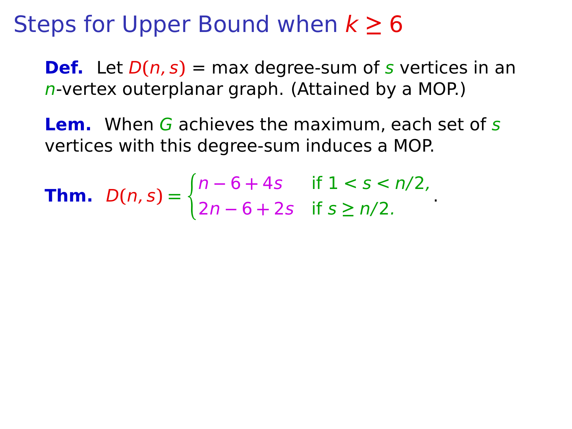**Def.** Let  $D(n, s) = \max$  degree-sum of s vertices in an  $n$ -vertex outerplanar graph. (Attained by a MOP.)

**Lem.** When G achieves the maximum, each set of s vertices with this degree-sum induces a MOP.

**Thm.** D**(**n, s**) =**  $\int n - 6 + 4s$  if  $1 < s < n/2$ , 2n − 6 + 2s if s ≥ n/2.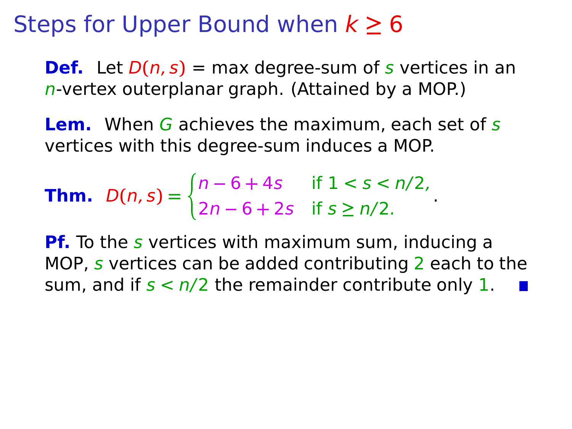**Def.** Let  $D(n, s)$  = max degree-sum of s vertices in an  $n$ -vertex outerplanar graph. (Attained by a MOP.)

**Lem.** When G achieves the maximum, each set of s vertices with this degree-sum induces a MOP.

**Thm.** 
$$
D(n, s) = \begin{cases} n - 6 + 4s & \text{if } 1 < s < n/2, \\ 2n - 6 + 2s & \text{if } s \ge n/2. \end{cases}
$$

**Pf.** To the s vertices with maximum sum, inducing a MOP, s vertices can be added contributing 2 each to the sum, and if  $s < n/2$  the remainder contribute only 1.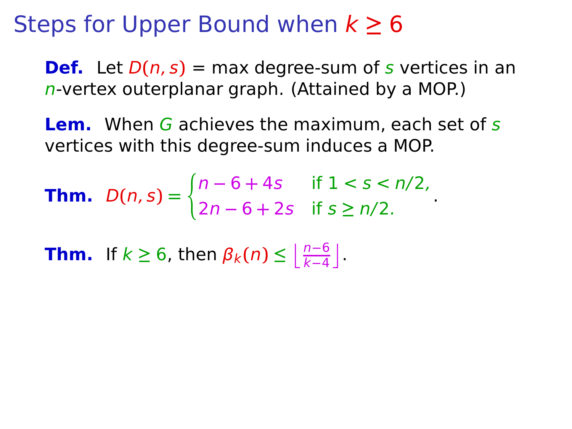**Def.** Let  $D(n, s) = \max$  degree-sum of s vertices in an  $n$ -vertex outerplanar graph. (Attained by a MOP.)

**Lem.** When G achieves the maximum, each set of s vertices with this degree-sum induces a MOP.

.

**Thm.** 
$$
D(n, s) = \begin{cases} n - 6 + 4s & \text{if } 1 < s < n/2, \\ 2n - 6 + 2s & \text{if } s \ge n/2. \end{cases}
$$

**Thm.** If  $k \ge 6$ , then  $\beta_k(n) \le \left\lfloor \frac{n-6}{k-4} \right\rfloor$ .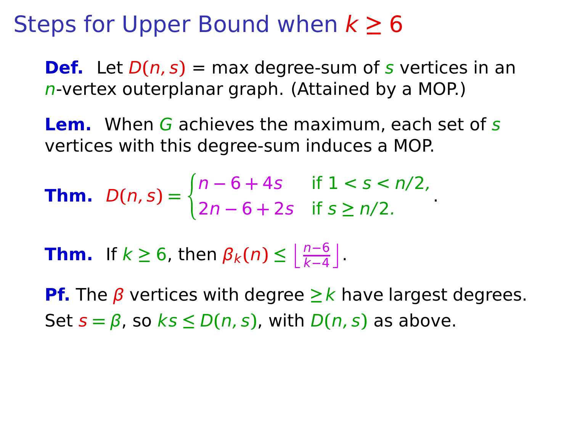**Def.** Let  $D(n, s) = \max$  degree-sum of s vertices in an  $n$ -vertex outerplanar graph. (Attained by a MOP.)

**Lem.** When G achieves the maximum, each set of s vertices with this degree-sum induces a MOP.

**Thm.** 
$$
D(n, s) = \begin{cases} n - 6 + 4s & \text{if } 1 < s < n/2, \\ 2n - 6 + 2s & \text{if } s \ge n/2. \end{cases}
$$

**Thm.** If  $k \ge 6$ , then  $\beta_k(n) \le \left\lfloor \frac{n-6}{k-4} \right\rfloor$ .

**Pf.** The β vertices with degree **≥**k have largest degrees. Set  $s = \beta$ , so  $ks \le D(n, s)$ , with  $D(n, s)$  as above.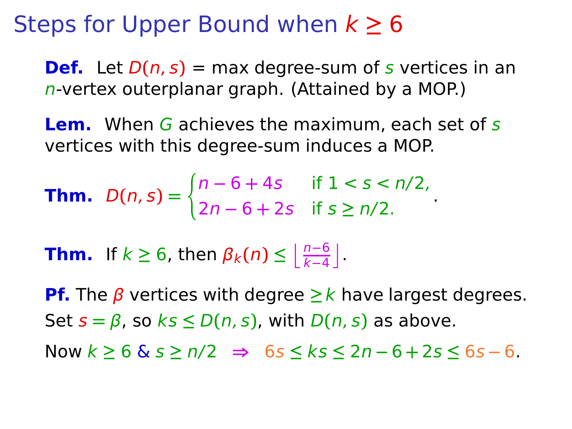**Def.** Let  $D(n, s)$  = max degree-sum of s vertices in an  $n$ -vertex outerplanar graph. (Attained by a MOP.)

**Lem.** When G achieves the maximum, each set of s vertices with this degree-sum induces a MOP.

**Thm.** 
$$
D(n, s) = \begin{cases} n - 6 + 4s & \text{if } 1 < s < n/2, \\ 2n - 6 + 2s & \text{if } s \ge n/2. \end{cases}
$$

**Thm.** If  $k \ge 6$ , then  $\beta_k(n) \le \left\lfloor \frac{n-6}{k-4} \right\rfloor$ .

**Pf.** The β vertices with degree **≥**k have largest degrees. Set  $s = \beta$ , so  $ks \le D(n, s)$ , with  $D(n, s)$  as above. Now  $k \ge 6$  &  $s \ge n/2$   $\Rightarrow$  6s  $\le k$ s  $\le 2n - 6 + 2s$   $\le 6s - 6$ .